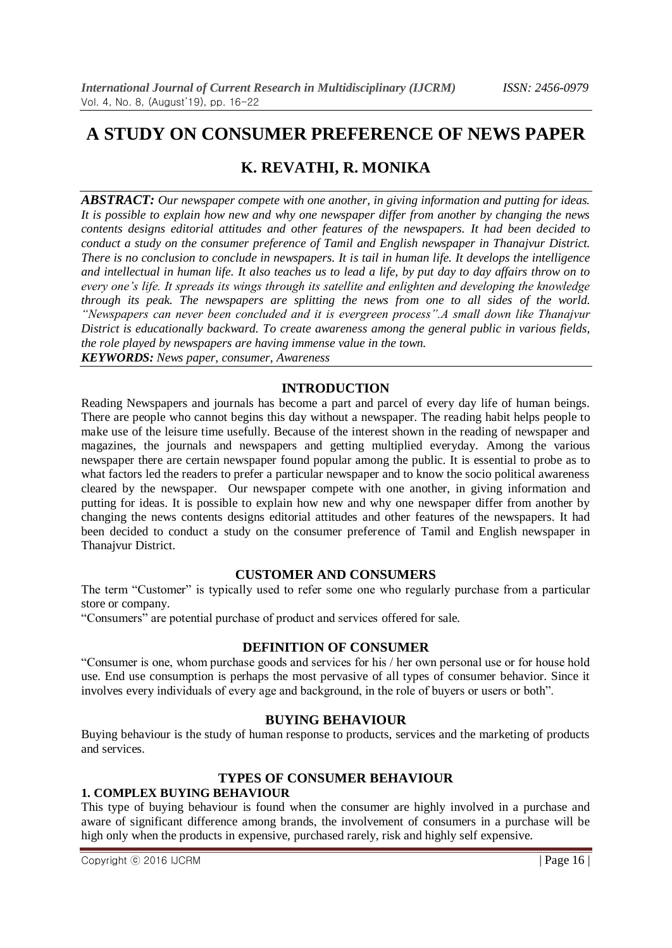# **A STUDY ON CONSUMER PREFERENCE OF NEWS PAPER**

# **K. REVATHI, R. MONIKA**

*ABSTRACT: Our newspaper compete with one another, in giving information and putting for ideas. It is possible to explain how new and why one newspaper differ from another by changing the news contents designs editorial attitudes and other features of the newspapers. It had been decided to conduct a study on the consumer preference of Tamil and English newspaper in Thanajvur District. There is no conclusion to conclude in newspapers. It is tail in human life. It develops the intelligence and intellectual in human life. It also teaches us to lead a life, by put day to day affairs throw on to every one's life. It spreads its wings through its satellite and enlighten and developing the knowledge through its peak. The newspapers are splitting the news from one to all sides of the world. "Newspapers can never been concluded and it is evergreen process".A small down like Thanajvur District is educationally backward. To create awareness among the general public in various fields, the role played by newspapers are having immense value in the town. KEYWORDS: News paper, consumer, Awareness*

# **INTRODUCTION**

Reading Newspapers and journals has become a part and parcel of every day life of human beings. There are people who cannot begins this day without a newspaper. The reading habit helps people to make use of the leisure time usefully. Because of the interest shown in the reading of newspaper and magazines, the journals and newspapers and getting multiplied everyday. Among the various newspaper there are certain newspaper found popular among the public. It is essential to probe as to what factors led the readers to prefer a particular newspaper and to know the socio political awareness cleared by the newspaper. Our newspaper compete with one another, in giving information and putting for ideas. It is possible to explain how new and why one newspaper differ from another by changing the news contents designs editorial attitudes and other features of the newspapers. It had been decided to conduct a study on the consumer preference of Tamil and English newspaper in Thanajvur District.

## **CUSTOMER AND CONSUMERS**

The term "Customer" is typically used to refer some one who regularly purchase from a particular store or company.

"Consumers" are potential purchase of product and services offered for sale.

# **DEFINITION OF CONSUMER**

"Consumer is one, whom purchase goods and services for his / her own personal use or for house hold use. End use consumption is perhaps the most pervasive of all types of consumer behavior. Since it involves every individuals of every age and background, in the role of buyers or users or both".

# **BUYING BEHAVIOUR**

Buying behaviour is the study of human response to products, services and the marketing of products and services.

# **TYPES OF CONSUMER BEHAVIOUR**

## **1. COMPLEX BUYING BEHAVIOUR**

This type of buying behaviour is found when the consumer are highly involved in a purchase and aware of significant difference among brands, the involvement of consumers in a purchase will be high only when the products in expensive, purchased rarely, risk and highly self expensive.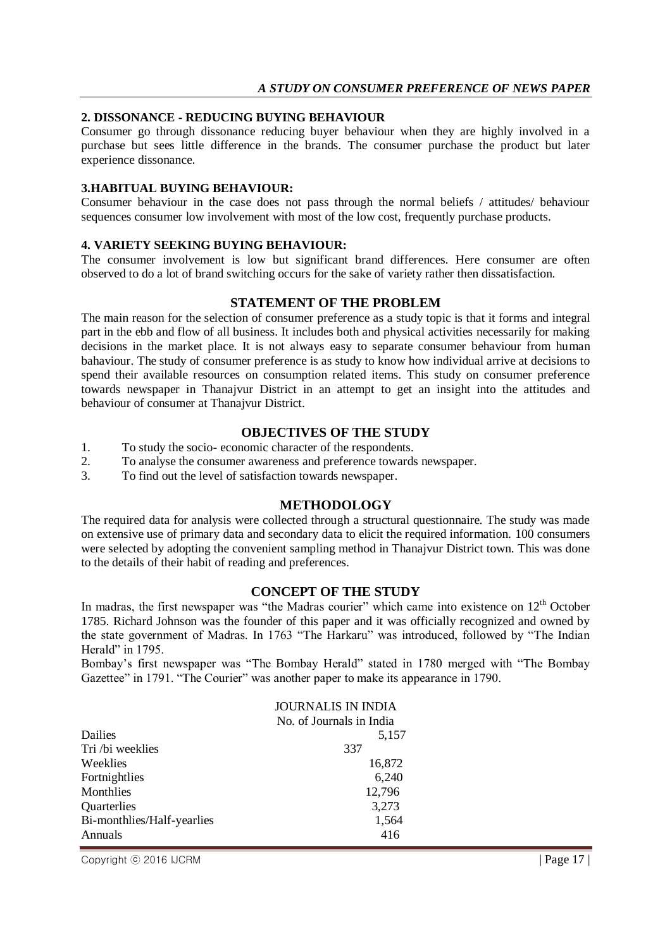#### **2. DISSONANCE - REDUCING BUYING BEHAVIOUR**

Consumer go through dissonance reducing buyer behaviour when they are highly involved in a purchase but sees little difference in the brands. The consumer purchase the product but later experience dissonance.

#### **3.HABITUAL BUYING BEHAVIOUR:**

Consumer behaviour in the case does not pass through the normal beliefs / attitudes/ behaviour sequences consumer low involvement with most of the low cost, frequently purchase products.

#### **4. VARIETY SEEKING BUYING BEHAVIOUR:**

The consumer involvement is low but significant brand differences. Here consumer are often observed to do a lot of brand switching occurs for the sake of variety rather then dissatisfaction.

## **STATEMENT OF THE PROBLEM**

The main reason for the selection of consumer preference as a study topic is that it forms and integral part in the ebb and flow of all business. It includes both and physical activities necessarily for making decisions in the market place. It is not always easy to separate consumer behaviour from human bahaviour. The study of consumer preference is as study to know how individual arrive at decisions to spend their available resources on consumption related items. This study on consumer preference towards newspaper in Thanajvur District in an attempt to get an insight into the attitudes and behaviour of consumer at Thanajvur District.

#### **OBJECTIVES OF THE STUDY**

- 1. To study the socio- economic character of the respondents.
- 2. To analyse the consumer awareness and preference towards newspaper.
- 3. To find out the level of satisfaction towards newspaper.

#### **METHODOLOGY**

The required data for analysis were collected through a structural questionnaire. The study was made on extensive use of primary data and secondary data to elicit the required information. 100 consumers were selected by adopting the convenient sampling method in Thanajvur District town. This was done to the details of their habit of reading and preferences.

## **CONCEPT OF THE STUDY**

In madras, the first newspaper was "the Madras courier" which came into existence on  $12<sup>th</sup>$  October 1785. Richard Johnson was the founder of this paper and it was officially recognized and owned by the state government of Madras. In 1763 "The Harkaru" was introduced, followed by "The Indian Herald" in 1795.

Bombay's first newspaper was "The Bombay Herald" stated in 1780 merged with "The Bombay Gazettee" in 1791. "The Courier" was another paper to make its appearance in 1790.

|                            | <b>JOURNALIS IN INDIA</b> |
|----------------------------|---------------------------|
|                            | No. of Journals in India  |
| Dailies                    | 5,157                     |
| Tri /bi weeklies           | 337                       |
| Weeklies                   | 16,872                    |
| Fortnightlies              | 6,240                     |
| Monthlies                  | 12,796                    |
| Quarterlies                | 3,273                     |
| Bi-monthlies/Half-yearlies | 1,564                     |
| Annuals                    | 416                       |

Copyright © 2016 IJCRM  $\vert$  Page 17 |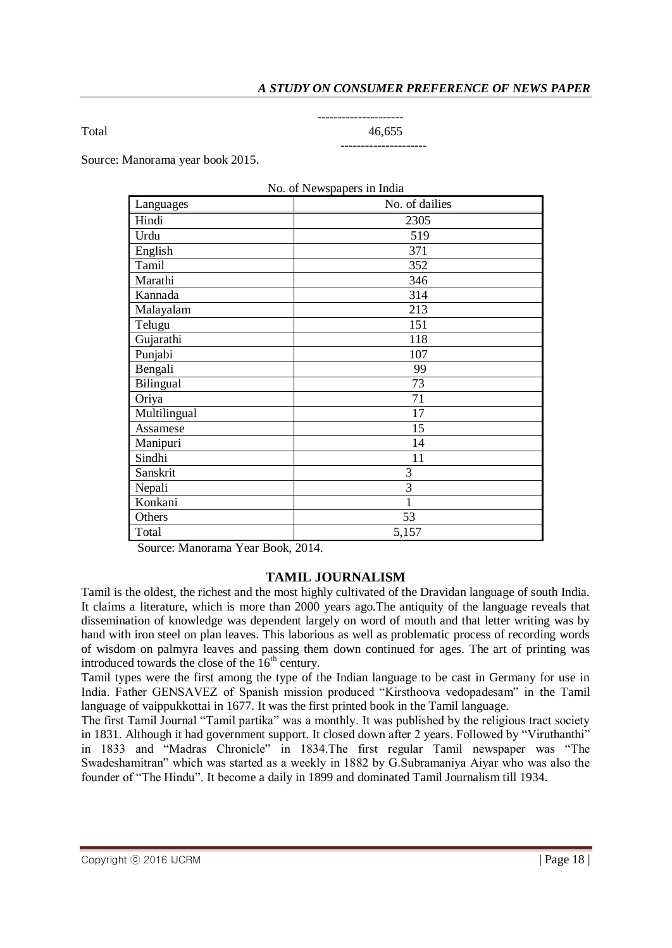Total 46,655

# ---------------------

# ---------------------

Source: Manorama year book 2015.

| No. of Newspapers in India |                |  |
|----------------------------|----------------|--|
| Languages                  | No. of dailies |  |
| Hindi                      | 2305           |  |
| Urdu                       | 519            |  |
| English                    | 371            |  |
| Tamil                      | 352            |  |
| Marathi                    | 346            |  |
| Kannada                    | 314            |  |
| Malayalam                  | 213            |  |
| Telugu                     | 151            |  |
| Gujarathi                  | 118            |  |
| Punjabi                    | 107            |  |
| Bengali                    | 99             |  |
| Bilingual                  | 73             |  |
| Oriya                      | 71             |  |
| Multilingual               | 17             |  |
| Assamese                   | 15             |  |
| Manipuri                   | 14             |  |
| Sindhi                     | 11             |  |
| Sanskrit                   | 3              |  |
| Nepali                     | $\overline{3}$ |  |
| Konkani                    | $\mathbf{1}$   |  |
| Others                     | 53             |  |
| Total                      | 5,157          |  |

Source: Manorama Year Book, 2014.

## **TAMIL JOURNALISM**

Tamil is the oldest, the richest and the most highly cultivated of the Dravidan language of south India. It claims a literature, which is more than 2000 years ago.The antiquity of the language reveals that dissemination of knowledge was dependent largely on word of mouth and that letter writing was by hand with iron steel on plan leaves. This laborious as well as problematic process of recording words of wisdom on palmyra leaves and passing them down continued for ages. The art of printing was introduced towards the close of the  $16<sup>th</sup>$  century.

Tamil types were the first among the type of the Indian language to be cast in Germany for use in India. Father GENSAVEZ of Spanish mission produced "Kirsthoova vedopadesam" in the Tamil language of vaippukkottai in 1677. It was the first printed book in the Tamil language.

The first Tamil Journal "Tamil partika" was a monthly. It was published by the religious tract society in 1831. Although it had government support. It closed down after 2 years. Followed by "Viruthanthi" in 1833 and "Madras Chronicle" in 1834.The first regular Tamil newspaper was "The Swadeshamitran" which was started as a weekly in 1882 by G.Subramaniya Aiyar who was also the founder of "The Hindu". It become a daily in 1899 and dominated Tamil Journalism till 1934.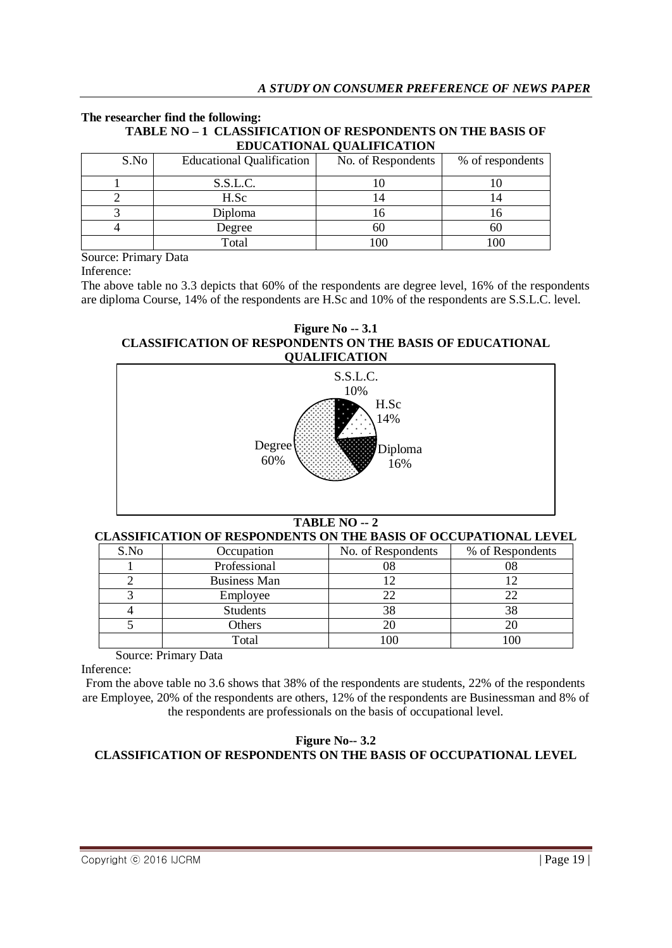#### **The researcher find the following: TABLE NO – 1 CLASSIFICATION OF RESPONDENTS ON THE BASIS OF EDUCATIONAL QUALIFICATION**

| S.No | <b>Educational Qualification</b> | No. of Respondents | % of respondents |
|------|----------------------------------|--------------------|------------------|
|      | S.S.L.C.                         |                    |                  |
|      | H.Sc                             |                    |                  |
|      | Diploma                          |                    |                  |
|      | Degree                           |                    | 60               |
|      | Total                            | 100                | 100              |

Source: Primary Data

Inference:

The above table no 3.3 depicts that 60% of the respondents are degree level, 16% of the respondents are diploma Course, 14% of the respondents are H.Sc and 10% of the respondents are S.S.L.C. level.

**Figure No -- 3.1 CLASSIFICATION OF RESPONDENTS ON THE BASIS OF EDUCATIONAL QUALIFICATION**



# **TABLE NO -- 2**

## **CLASSIFICATION OF RESPONDENTS ON THE BASIS OF OCCUPATIONAL LEVEL**

| S.No | Occupation          | No. of Respondents | % of Respondents |
|------|---------------------|--------------------|------------------|
|      | Professional        | 08                 |                  |
|      | <b>Business Man</b> |                    |                  |
|      | Employee            | 22                 |                  |
|      | <b>Students</b>     | 38                 |                  |
|      | Others              | 20                 |                  |
|      | Total               | .00                |                  |

Source: Primary Data

Inference:

From the above table no 3.6 shows that 38% of the respondents are students, 22% of the respondents are Employee, 20% of the respondents are others, 12% of the respondents are Businessman and 8% of the respondents are professionals on the basis of occupational level.

## **Figure No-- 3.2 CLASSIFICATION OF RESPONDENTS ON THE BASIS OF OCCUPATIONAL LEVEL**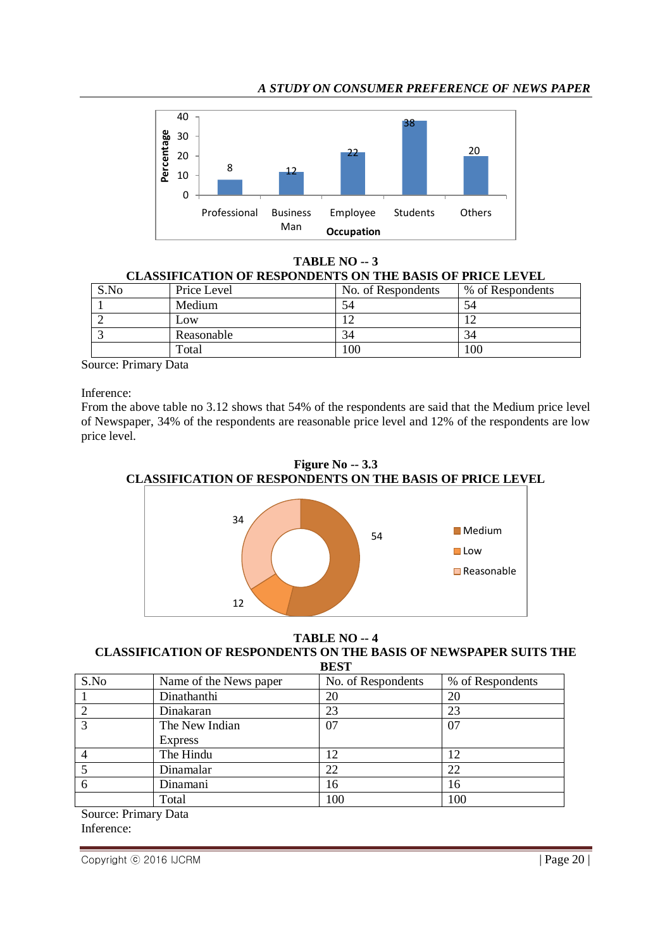## *A STUDY ON CONSUMER PREFERENCE OF NEWS PAPER*



**TABLE NO -- 3 CLASSIFICATION OF RESPONDENTS ON THE BASIS OF PRICE LEVEL**

| S.No | Price Level | No. of Respondents | % of Respondents |
|------|-------------|--------------------|------------------|
|      | Medium      | 74                 | 54               |
|      | Low         |                    |                  |
|      | Reasonable  | 34                 | 34               |
|      | Total       | 100                | 00               |

Source: Primary Data

Inference:

From the above table no 3.12 shows that 54% of the respondents are said that the Medium price level of Newspaper, 34% of the respondents are reasonable price level and 12% of the respondents are low price level.



**Figure No -- 3.3 CLASSIFICATION OF RESPONDENTS ON THE BASIS OF PRICE LEVEL**

## **TABLE NO -- 4**

#### **CLASSIFICATION OF RESPONDENTS ON THE BASIS OF NEWSPAPER SUITS THE BEST**

| ----                                                        |                        |                    |                  |
|-------------------------------------------------------------|------------------------|--------------------|------------------|
| S.No                                                        | Name of the News paper | No. of Respondents | % of Respondents |
|                                                             | Dinathanthi            | 20                 | 20               |
| 2                                                           | Dinakaran              | 23                 | 23               |
| $\mathcal{R}$                                               | The New Indian         | 07                 | 07               |
|                                                             | <b>Express</b>         |                    |                  |
| $\overline{4}$                                              | The Hindu              | 12                 | 12               |
|                                                             | Dinamalar              | 22                 | 22               |
| 6                                                           | Dinamani               | 16                 | 16               |
|                                                             | Total                  | 100                | 100              |
| $\mathbf{C}$ . The $\mathbf{D}$ state of $\mathbf{D}$ state |                        |                    |                  |

Source: Primary Data Inference:

Copyright © 2016 IJCRM | Page 20 |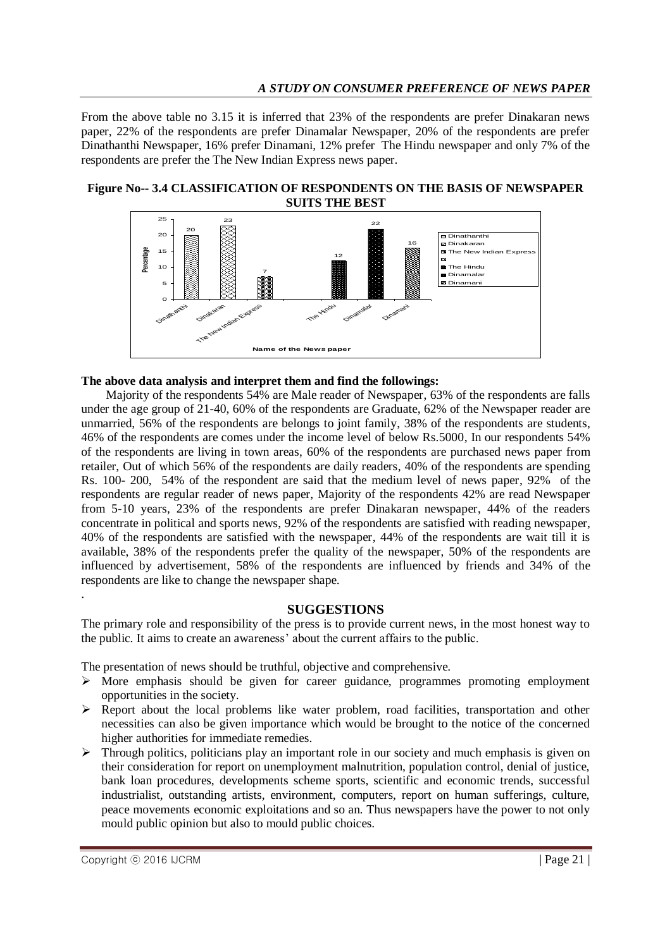## *A STUDY ON CONSUMER PREFERENCE OF NEWS PAPER*

From the above table no 3.15 it is inferred that 23% of the respondents are prefer Dinakaran news paper, 22% of the respondents are prefer Dinamalar Newspaper, 20% of the respondents are prefer Dinathanthi Newspaper, 16% prefer Dinamani, 12% prefer The Hindu newspaper and only 7% of the respondents are prefer the The New Indian Express news paper.

#### **Figure No-- 3.4 CLASSIFICATION OF RESPONDENTS ON THE BASIS OF NEWSPAPER SUITS THE BEST**



#### **The above data analysis and interpret them and find the followings:**

 Majority of the respondents 54% are Male reader of Newspaper, 63% of the respondents are falls under the age group of 21-40, 60% of the respondents are Graduate, 62% of the Newspaper reader are unmarried, 56% of the respondents are belongs to joint family, 38% of the respondents are students, 46% of the respondents are comes under the income level of below Rs.5000, In our respondents 54% of the respondents are living in town areas, 60% of the respondents are purchased news paper from retailer, Out of which 56% of the respondents are daily readers, 40% of the respondents are spending Rs. 100- 200, 54% of the respondent are said that the medium level of news paper, 92% of the respondents are regular reader of news paper, Majority of the respondents 42% are read Newspaper from 5-10 years, 23% of the respondents are prefer Dinakaran newspaper, 44% of the readers concentrate in political and sports news, 92% of the respondents are satisfied with reading newspaper, 40% of the respondents are satisfied with the newspaper, 44% of the respondents are wait till it is available, 38% of the respondents prefer the quality of the newspaper, 50% of the respondents are influenced by advertisement, 58% of the respondents are influenced by friends and 34% of the respondents are like to change the newspaper shape. .

#### **SUGGESTIONS**

The primary role and responsibility of the press is to provide current news, in the most honest way to the public. It aims to create an awareness' about the current affairs to the public.

The presentation of news should be truthful, objective and comprehensive.

- $\triangleright$  More emphasis should be given for career guidance, programmes promoting employment opportunities in the society.
- $\triangleright$  Report about the local problems like water problem, road facilities, transportation and other necessities can also be given importance which would be brought to the notice of the concerned higher authorities for immediate remedies.
- $\triangleright$  Through politics, politicians play an important role in our society and much emphasis is given on their consideration for report on unemployment malnutrition, population control, denial of justice, bank loan procedures, developments scheme sports, scientific and economic trends, successful industrialist, outstanding artists, environment, computers, report on human sufferings, culture, peace movements economic exploitations and so an. Thus newspapers have the power to not only mould public opinion but also to mould public choices.